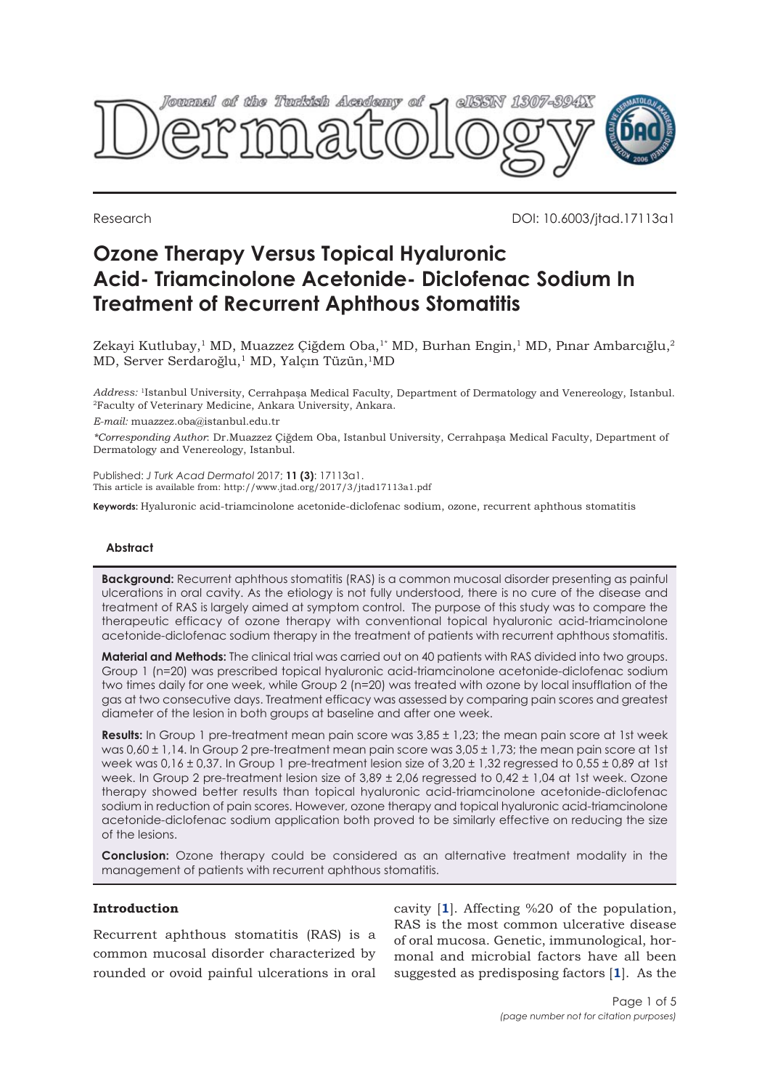

Research DOI: 10.6003/jtad.17113a1

# **Ozone Therapy Versus Topical Hyaluronic Acid- Triamcinolone Acetonide- Diclofenac Sodium In Treatment of Recurrent Aphthous Stomatitis**

Zekayi Kutlubay,<sup>1</sup> MD, Muazzez Çiğdem Oba,<sup>1\*</sup> MD, Burhan Engin,<sup>1</sup> MD, Pınar Ambarcığlu,<sup>2</sup> MD, Server Serdaroğlu,<sup>1</sup> MD, Yalçın Tüzün,<sup>1</sup>MD

*Address:* <sup>1</sup>Istanbul University, Cerrahpaşa Medical Faculty, Department of Dermatology and Venereology, Istanbul. <sup>2</sup>Faculty of Veterinary Medicine, Ankara University, Ankara.

*E-mail:* muazzez.oba@istanbul.edu.tr

*\*Corresponding Author*: Dr.Muazzez Çiğdem Oba, Istanbul University, Cerrahpaşa Medical Faculty, Department of Dermatology and Venereology, Istanbul.

Published: *J Turk Acad Dermatol* 2017; **11 (3)**: 17113a1. This article is available from: http://www.jtad.org/2017/3/jtad17113a1.pdf

**Keywords:** Hyaluronic acid-triamcinolone acetonide-diclofenac sodium, ozone, recurrent aphthous stomatitis

# **Abstract**

**Background:** Recurrent aphthous stomatitis (RAS) is a common mucosal disorder presenting as painful ulcerations in oral cavity. As the etiology is not fully understood, there is no cure of the disease and treatment of RAS is largely aimed at symptom control. The purpose of this study was to compare the therapeutic efficacy of ozone therapy with conventional topical hyaluronic acid-triamcinolone acetonide-diclofenac sodium therapy in the treatment of patients with recurrent aphthous stomatitis.

**Material and Methods:** The clinical trial was carried out on 40 patients with RAS divided into two groups. Group 1 (n=20) was prescribed topical hyaluronic acid-triamcinolone acetonide-diclofenac sodium two times daily for one week, while Group 2 (n=20) was treated with ozone by local insufflation of the gas at two consecutive days. Treatment efficacy was assessed by comparing pain scores and greatest diameter of the lesion in both groups at baseline and after one week.

**Results:** In Group 1 pre-treatment mean pain score was 3,85 ± 1,23; the mean pain score at 1st week was 0,60 ± 1,14. In Group 2 pre-treatment mean pain score was 3,05 ± 1,73; the mean pain score at 1st week was 0,16 ± 0,37. In Group 1 pre-treatment lesion size of 3,20 ± 1,32 regressed to 0,55 ± 0,89 at 1st week. In Group 2 pre-treatment lesion size of  $3.89 \pm 2.06$  regressed to  $0.42 \pm 1.04$  at 1st week. Ozone therapy showed better results than topical hyaluronic acid-triamcinolone acetonide-diclofenac sodium in reduction of pain scores. However, ozone therapy and topical hyaluronic acid-triamcinolone acetonide-diclofenac sodium application both proved to be similarly effective on reducing the size of the lesions.

**Conclusion:** Ozone therapy could be considered as an alternative treatment modality in the management of patients with recurrent aphthous stomatitis.

### **Introduction**

Recurrent aphthous stomatitis (RAS) is a common mucosal disorder characterized by rounded or ovoid painful ulcerations in oral

cavity [**[1](#page-3-0)**]. Affecting %20 of the population, RAS is the most common ulcerative disease of oral mucosa. Genetic, immunological, hormonal and microbial factors have all been suggested as predisposing factors [**[1](#page-3-0)**]. As the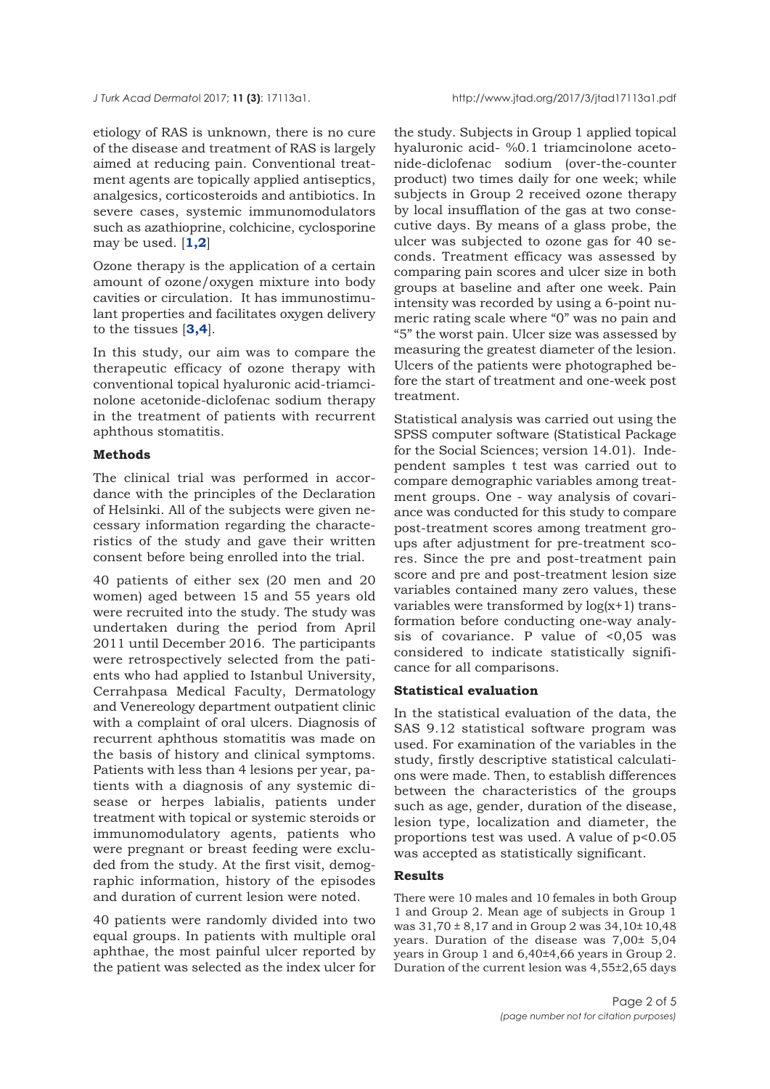etiology of RAS is unknown, there is no cure of the disease and treatment of RAS is largely aimed at reducing pain. Conventional treatment agents are topically applied antiseptics, analgesics, corticosteroids and antibiotics. In severe cases, systemic immunomodulators such as azathioprine, colchicine, cyclosporine may be used. [**[1,2](#page-3-0)**]

Ozone therapy is the application of a certain amount of ozone/oxygen mixture into body cavities or circulation. It has immunostimulant properties and facilitates oxygen delivery to the tissues [**[3,4](#page-3-0)**].

In this study, our aim was to compare the therapeutic efficacy of ozone therapy with conventional topical hyaluronic acid-triamcinolone acetonide-diclofenac sodium therapy in the treatment of patients with recurrent aphthous stomatitis.

## **Methods**

The clinical trial was performed in accordance with the principles of the Declaration of Helsinki. All of the subjects were given necessary information regarding the characteristics of the study and gave their written consent before being enrolled into the trial.

40 patients of either sex (20 men and 20 women) aged between 15 and 55 years old were recruited into the study. The study was undertaken during the period from April 2011 until December 2016. The participants were retrospectively selected from the patients who had applied to Istanbul University, Cerrahpasa Medical Faculty, Dermatology and Venereology department outpatient clinic with a complaint of oral ulcers. Diagnosis of recurrent aphthous stomatitis was made on the basis of history and clinical symptoms. Patients with less than 4 lesions per year, patients with a diagnosis of any systemic disease or herpes labialis, patients under treatment with topical or systemic steroids or immunomodulatory agents, patients who were pregnant or breast feeding were excluded from the study. At the first visit, demographic information, history of the episodes and duration of current lesion were noted.

40 patients were randomly divided into two equal groups. In patients with multiple oral aphthae, the most painful ulcer reported by the patient was selected as the index ulcer for

the study. Subjects in Group 1 applied topical hyaluronic acid- %0.1 triamcinolone acetonide-diclofenac sodium (over-the-counter product) two times daily for one week; while subjects in Group 2 received ozone therapy by local insufflation of the gas at two consecutive days. By means of a glass probe, the ulcer was subjected to ozone gas for 40 seconds. Treatment efficacy was assessed by comparing pain scores and ulcer size in both groups at baseline and after one week. Pain intensity was recorded by using a 6-point numeric rating scale where "0" was no pain and "5" the worst pain. Ulcer size was assessed by measuring the greatest diameter of the lesion. Ulcers of the patients were photographed before the start of treatment and one-week post treatment.

Statistical analysis was carried out using the SPSS computer software (Statistical Package for the Social Sciences; version 14.01). Independent samples t test was carried out to compare demographic variables among treatment groups. One - way analysis of covariance was conducted for this study to compare post-treatment scores among treatment groups after adjustment for pre-treatment scores. Since the pre and post-treatment pain score and pre and post-treatment lesion size variables contained many zero values, these variables were transformed by log(x+1) transformation before conducting one-way analysis of covariance. P value of  $< 0.05$  was considered to indicate statistically significance for all comparisons.

### **Statistical evaluation**

In the statistical evaluation of the data, the SAS 9.12 statistical software program was used. For examination of the variables in the study, firstly descriptive statistical calculations were made. Then, to establish differences between the characteristics of the groups such as age, gender, duration of the disease, lesion type, localization and diameter, the proportions test was used. A value of p<0.05 was accepted as statistically significant.

### **Results**

There were 10 males and 10 females in both Group 1 and Group 2. Mean age of subjects in Group 1 was  $31,70 \pm 8,17$  and in Group 2 was  $34,10 \pm 10,48$ years. Duration of the disease was 7,00± 5,04 years in Group 1 and 6,40±4,66 years in Group 2. Duration of the current lesion was 4,55±2,65 days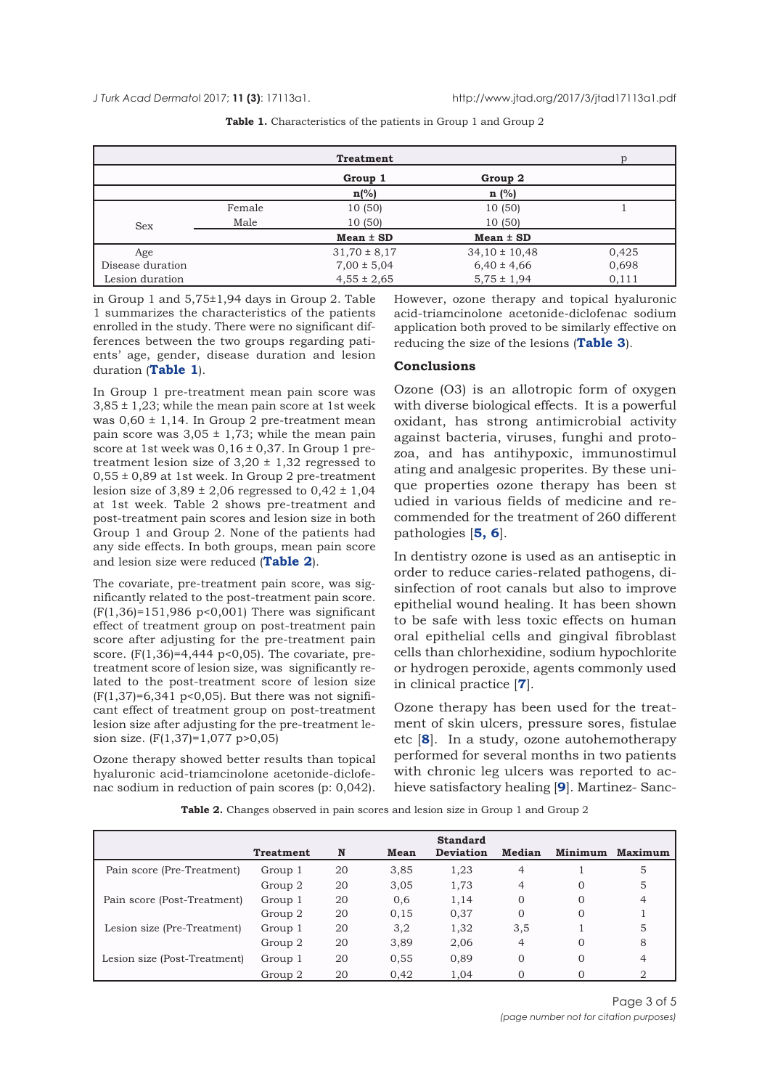|                  |        | <b>Treatment</b> |                   |       |
|------------------|--------|------------------|-------------------|-------|
|                  |        | Group 1          | Group 2           |       |
|                  |        | $n\frac{6}{6}$   | $n$ (%)           |       |
|                  | Female | 10(50)           | 10 (50)           |       |
| <b>Sex</b>       | Male   | 10 (50)          | 10(50)            |       |
|                  |        | $Mean \pm SD$    | $Mean \pm SD$     |       |
| Age              |        | $31,70 \pm 8,17$ | $34,10 \pm 10,48$ | 0,425 |
| Disease duration |        | $7,00 \pm 5,04$  | $6,40 \pm 4,66$   | 0,698 |
| Lesion duration  |        | $4,55 \pm 2,65$  | $5,75 \pm 1,94$   | 0,111 |

Table 1. Characteristics of the patients in Group 1 and Group 2

in Group 1 and 5,75±1,94 days in Group 2. Table 1 summarizes the characteristics of the patients enrolled in the study. There were no significant differences between the two groups regarding patients' age, gender, disease duration and lesion duration (**Table 1**).

In Group 1 pre-treatment mean pain score was  $3,85 \pm 1,23$ ; while the mean pain score at 1st week was  $0,60 \pm 1,14$ . In Group 2 pre-treatment mean pain score was  $3,05 \pm 1,73$ ; while the mean pain score at 1st week was  $0.16 \pm 0.37$ . In Group 1 pretreatment lesion size of  $3,20 \pm 1,32$  regressed to  $0.55 \pm 0.89$  at 1st week. In Group 2 pre-treatment lesion size of  $3,89 \pm 2,06$  regressed to  $0,42 \pm 1,04$ at 1st week. Table 2 shows pre-treatment and post-treatment pain scores and lesion size in both Group 1 and Group 2. None of the patients had any side effects. In both groups, mean pain score and lesion size were reduced (**Table 2**).

The covariate, pre-treatment pain score, was significantly related to the post-treatment pain score. (F(1,36)=151,986 p<0,001) There was significant effect of treatment group on post-treatment pain score after adjusting for the pre-treatment pain score.  $(F(1,36)=4,444 \text{ p} < 0,05)$ . The covariate, pretreatment score of lesion size, was significantly related to the post-treatment score of lesion size  $(F(1, 37)=6,341 \text{ p} < 0,05)$ . But there was not significant effect of treatment group on post-treatment lesion size after adjusting for the pre-treatment lesion size. (F(1,37)=1,077 p>0,05)

Ozone therapy showed better results than topical hyaluronic acid-triamcinolone acetonide-diclofenac sodium in reduction of pain scores (p: 0,042). However, ozone therapy and topical hyaluronic acid-triamcinolone acetonide-diclofenac sodium application both proved to be similarly effective on reducing the size of the lesions (**[Table 3](#page-3-0)**).

#### **Conclusions**

Ozone (O3) is an allotropic form of oxygen with diverse biological effects. It is a powerful oxidant, has strong antimicrobial activity against bacteria, viruses, funghi and protozoa, and has antihypoxic, immunostimul ating and analgesic properites. By these unique properties ozone therapy has been st udied in various fields of medicine and recommended for the treatment of 260 different pathologies [**[5,](#page-3-0) [6](#page-3-0)**].

In dentistry ozone is used as an antiseptic in order to reduce caries-related pathogens, disinfection of root canals but also to improve epithelial wound healing. It has been shown to be safe with less toxic effects on human oral epithelial cells and gingival fibroblast cells than chlorhexidine, sodium hypochlorite or hydrogen peroxide, agents commonly used in clinical practice [**[7](#page-3-0)**].

Ozone therapy has been used for the treatment of skin ulcers, pressure sores, fistulae etc [**[8](#page-3-0)**]. In a study, ozone autohemotherapy performed for several months in two patients with chronic leg ulcers was reported to achieve satisfactory healing [**[9](#page-4-0)**]. Martinez- Sanc-

|  |  | <b>Table 2.</b> Changes observed in pain scores and lesion size in Group 1 and Group 2 |
|--|--|----------------------------------------------------------------------------------------|
|  |  |                                                                                        |

|                              | <b>Treatment</b> | N  | Mean | <b>Standard</b><br><b>Deviation</b> | Median   | <b>Minimum</b> | Maximum |
|------------------------------|------------------|----|------|-------------------------------------|----------|----------------|---------|
| Pain score (Pre-Treatment)   | Group 1          | 20 | 3,85 | 1,23                                | 4        |                | 5       |
|                              | Group 2          | 20 | 3,05 | 1,73                                | 4        | $\Omega$       | 5       |
| Pain score (Post-Treatment)  | Group 1          | 20 | 0,6  | 1.14                                |          | $\Omega$       | 4       |
|                              | Group 2          | 20 | 0.15 | 0,37                                |          | $\Omega$       |         |
| Lesion size (Pre-Treatment)  | Group 1          | 20 | 3,2  | 1,32                                | 3,5      |                | 5       |
|                              | Group 2          | 20 | 3,89 | 2,06                                | 4        | $\Omega$       | 8       |
| Lesion size (Post-Treatment) | Group 1          | 20 | 0.55 | 0,89                                | $\Omega$ | $\Omega$       |         |
|                              | Group 2          | 20 | 0,42 | 1,04                                |          |                |         |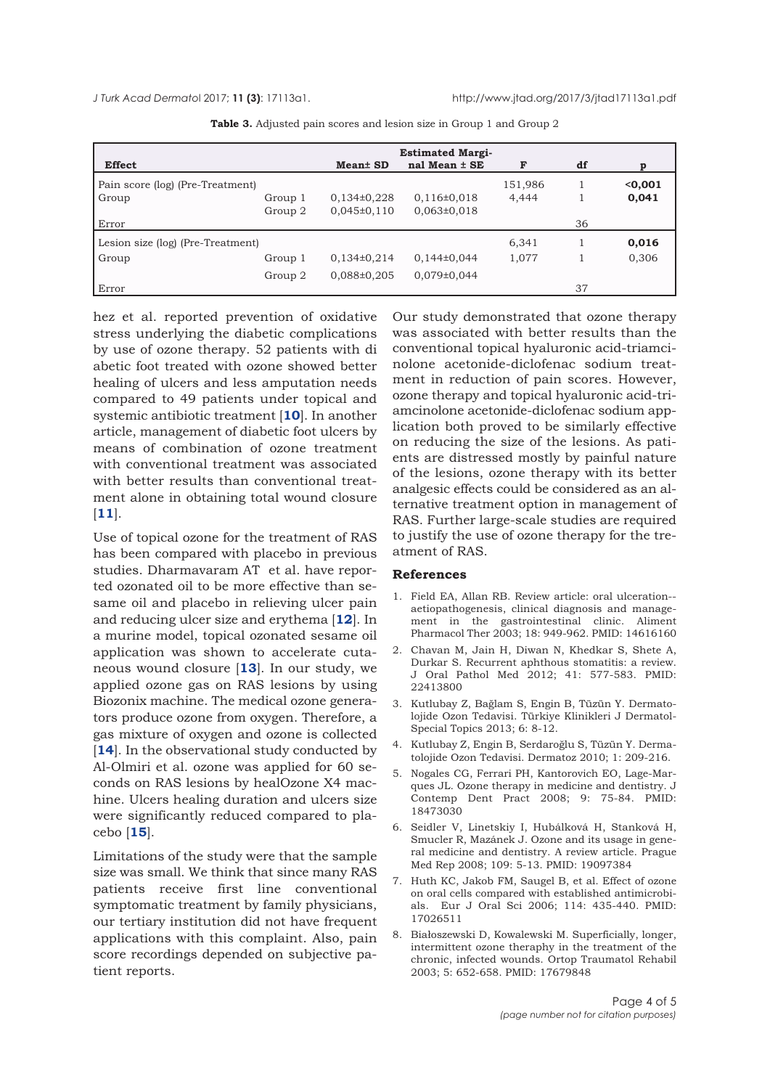<span id="page-3-0"></span>

| <b>Effect</b>                     |         |                      | <b>Estimated Margi-</b><br>nal Mean $\pm$ SE | F       | df |         |
|-----------------------------------|---------|----------------------|----------------------------------------------|---------|----|---------|
|                                   |         | Mean <sup>±</sup> SD |                                              |         |    |         |
| Pain score (log) (Pre-Treatment)  |         |                      |                                              | 151,986 |    | < 0,001 |
| Group                             | Group 1 | $0,134\pm0.228$      | $0,116\pm0,018$                              | 4.444   |    | 0,041   |
|                                   | Group 2 | $0,045\pm0,110$      | $0,063\pm0,018$                              |         |    |         |
| Error                             |         |                      |                                              |         | 36 |         |
| Lesion size (log) (Pre-Treatment) |         |                      |                                              | 6,341   |    | 0,016   |
| Group                             | Group 1 | $0,134\pm0.214$      | $0,144\pm0,044$                              | 1,077   |    | 0,306   |
|                                   | Group 2 | $0.088 \pm 0.205$    | $0,079\pm0,044$                              |         |    |         |
| Error                             |         |                      |                                              |         | 37 |         |

**Table 3.** Adjusted pain scores and lesion size in Group 1 and Group 2

hez et al. reported prevention of oxidative stress underlying the diabetic complications by use of ozone therapy. 52 patients with di abetic foot treated with ozone showed better healing of ulcers and less amputation needs compared to 49 patients under topical and systemic antibiotic treatment [**[10](#page-4-0)**]. In another article, management of diabetic foot ulcers by means of combination of ozone treatment with conventional treatment was associated with better results than conventional treatment alone in obtaining total wound closure [**[11](#page-4-0)**].

Use of topical ozone for the treatment of RAS has been compared with placebo in previous studies. Dharmavaram AT et al. have reported ozonated oil to be more effective than sesame oil and placebo in relieving ulcer pain and reducing ulcer size and erythema [**[12](#page-4-0)**]. In a murine model, topical ozonated sesame oil application was shown to accelerate cutaneous wound closure [**[13](#page-4-0)**]. In our study, we applied ozone gas on RAS lesions by using Biozonix machine. The medical ozone generators produce ozone from oxygen. Therefore, a gas mixture of oxygen and ozone is collected [[14](#page-4-0)]. In the observational study conducted by Al-Olmiri et al. ozone was applied for 60 seconds on RAS lesions by healOzone X4 machine. Ulcers healing duration and ulcers size were significantly reduced compared to placebo [**[15](#page-4-0)**].

Limitations of the study were that the sample size was small. We think that since many RAS patients receive first line conventional symptomatic treatment by family physicians, our tertiary institution did not have frequent applications with this complaint. Also, pain score recordings depended on subjective patient reports.

Our study demonstrated that ozone therapy was associated with better results than the conventional topical hyaluronic acid-triamcinolone acetonide-diclofenac sodium treatment in reduction of pain scores. However, ozone therapy and topical hyaluronic acid-triamcinolone acetonide-diclofenac sodium application both proved to be similarly effective on reducing the size of the lesions. As patients are distressed mostly by painful nature of the lesions, ozone therapy with its better analgesic effects could be considered as an alternative treatment option in management of RAS. Further large-scale studies are required to justify the use of ozone therapy for the treatment of RAS.

#### **References**

- 1. Field EA, Allan RB. Review article: oral ulceration- aetiopathogenesis, clinical diagnosis and management in the gastrointestinal clinic. Aliment Pharmacol Ther 2003; 18: 949-962. PMID: 14616160
- 2. Chavan M, Jain H, Diwan N, Khedkar S, Shete A, Durkar S. Recurrent aphthous stomatitis: a review. J Oral Pathol Med 2012; 41: 577-583. PMID: 22413800
- 3. Kutlubay Z, Bağlam S, Engin B, Tüzün Y. Dermatolojide Ozon Tedavisi. Türkiye Klinikleri J Dermatol-Special Topics 2013; 6: 8-12.
- 4. Kutlubay Z, Engin B, Serdaroğlu S, Tüzün Y. Dermatolojide Ozon Tedavisi. Dermatoz 2010; 1: 209-216.
- 5. Nogales CG, Ferrari PH, Kantorovich EO, Lage-Marques JL. Ozone therapy in medicine and dentistry. J Contemp Dent Pract 2008; 9: 75-84. PMID: 18473030
- 6. Seidler V, Linetskiy I, Hubálková H, Stanková H, Smucler R, Mazánek J. Ozone and its usage in general medicine and dentistry. A review article. Prague Med Rep 2008; 109: 5-13. PMID: 19097384
- 7. Huth KC, Jakob FM, Saugel B, et al. Effect of ozone on oral cells compared with established antimicrobials. Eur J Oral Sci 2006; 114: 435-440. PMID: 17026511
- 8. Białoszewski D, Kowalewski M. Superficially, longer, intermittent ozone theraphy in the treatment of the chronic, infected wounds. Ortop Traumatol Rehabil 2003; 5: 652-658. PMID: 17679848